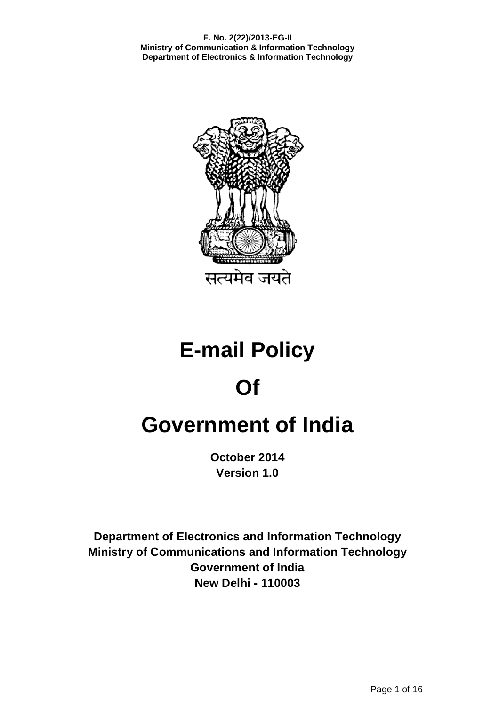

**E-mail Policy** 

# **Of**

# **Government of India**

**October 2014 Version 1.0**

**Department of Electronics and Information Technology Ministry of Communications and Information Technology Government of India New Delhi - 110003**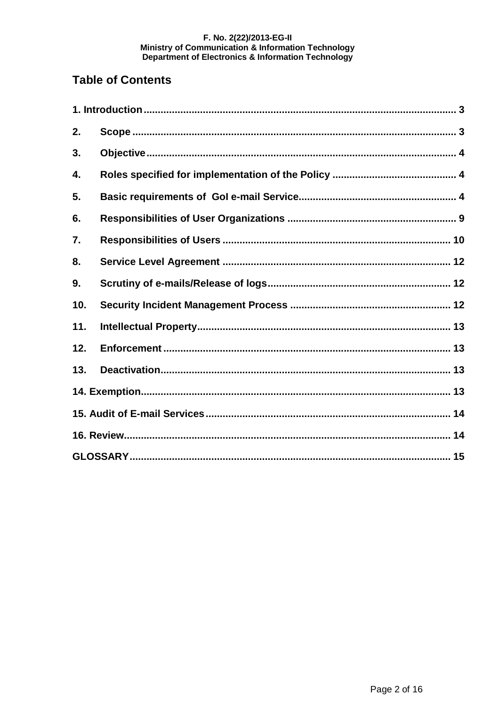# **Table of Contents**

| 2.  |  |  |  |
|-----|--|--|--|
| 3.  |  |  |  |
| 4.  |  |  |  |
| 5.  |  |  |  |
| 6.  |  |  |  |
| 7.  |  |  |  |
| 8.  |  |  |  |
| 9.  |  |  |  |
| 10. |  |  |  |
| 11. |  |  |  |
| 12. |  |  |  |
| 13. |  |  |  |
|     |  |  |  |
|     |  |  |  |
|     |  |  |  |
|     |  |  |  |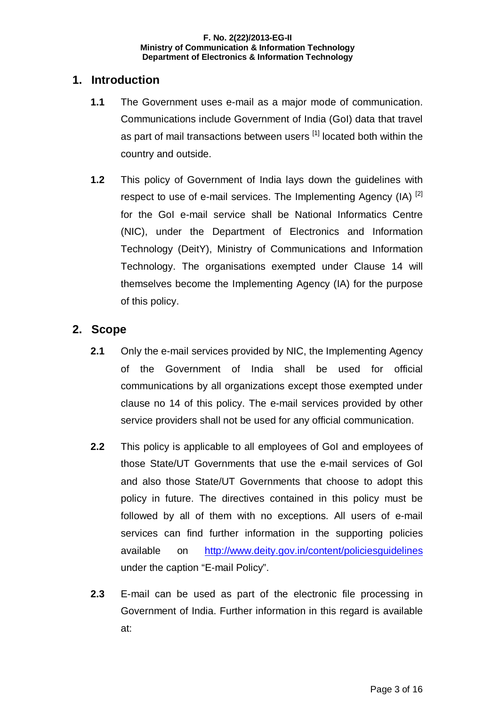#### **1. Introduction**

- **1.1** The Government uses e-mail as a major mode of communication. Communications include Government of India (GoI) data that travel as part of mail transactions between users [1] located both within the country and outside.
- **1.2** This policy of Government of India lays down the guidelines with respect to use of e-mail services. The Implementing Agency  $(IA)$   $^{[2]}$ for the GoI e-mail service shall be National Informatics Centre (NIC), under the Department of Electronics and Information Technology (DeitY), Ministry of Communications and Information Technology. The organisations exempted under Clause 14 will themselves become the Implementing Agency (IA) for the purpose of this policy.

#### **2. Scope**

- **2.1** Only the e-mail services provided by NIC, the Implementing Agency of the Government of India shall be used for official communications by all organizations except those exempted under clause no 14 of this policy. The e-mail services provided by other service providers shall not be used for any official communication.
- **2.2** This policy is applicable to all employees of GoI and employees of those State/UT Governments that use the e-mail services of GoI and also those State/UT Governments that choose to adopt this policy in future. The directives contained in this policy must be followed by all of them with no exceptions. All users of e-mail services can find further information in the supporting policies available on http://www.deity.gov.in/content/policiesguidelines under the caption "E-mail Policy".
- **2.3** E-mail can be used as part of the electronic file processing in Government of India. Further information in this regard is available at: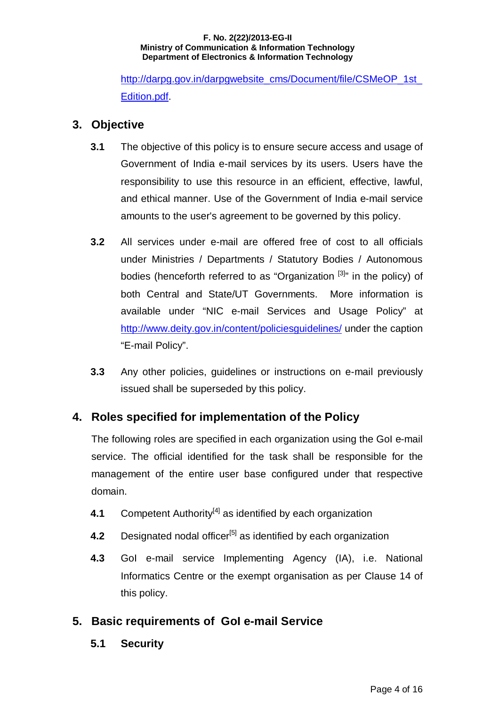http://darpg.gov.in/darpgwebsite\_cms/Document/file/CSMeOP\_1st Edition.pdf.

# **3. Objective**

- **3.1** The objective of this policy is to ensure secure access and usage of Government of India e-mail services by its users. Users have the responsibility to use this resource in an efficient, effective, lawful, and ethical manner. Use of the Government of India e-mail service amounts to the user's agreement to be governed by this policy.
- **3.2** All services under e-mail are offered free of cost to all officials under Ministries / Departments / Statutory Bodies / Autonomous bodies (henceforth referred to as "Organization  $[3]$ " in the policy) of both Central and State/UT Governments. More information is available under "NIC e-mail Services and Usage Policy" at http://www.deity.gov.in/content/policiesguidelines/ under the caption "E-mail Policy".
- **3.3** Any other policies, guidelines or instructions on e-mail previously issued shall be superseded by this policy.

# **4. Roles specified for implementation of the Policy**

The following roles are specified in each organization using the GoI e-mail service. The official identified for the task shall be responsible for the management of the entire user base configured under that respective domain.

- **4.1** Competent Authority<sup>[4]</sup> as identified by each organization
- **4.2** Designated nodal officer<sup>[5]</sup> as identified by each organization
- **4.3** GoI e-mail service Implementing Agency (IA), i.e. National Informatics Centre or the exempt organisation as per Clause 14 of this policy.

# **5. Basic requirements of GoI e-mail Service**

**5.1 Security**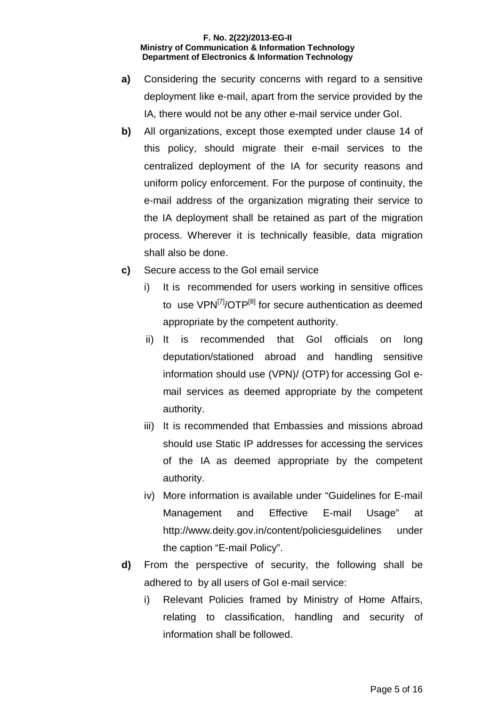- **a)** Considering the security concerns with regard to a sensitive deployment like e-mail, apart from the service provided by the IA, there would not be any other e-mail service under GoI.
- **b)** All organizations, except those exempted under clause 14 of this policy, should migrate their e-mail services to the centralized deployment of the IA for security reasons and uniform policy enforcement. For the purpose of continuity, the e-mail address of the organization migrating their service to the IA deployment shall be retained as part of the migration process. Wherever it is technically feasible, data migration shall also be done.
- **c)** Secure access to the GoI email service
	- i) It is recommended for users working in sensitive offices to use VPN<sup>[7]</sup>/OTP<sup>[8]</sup> for secure authentication as deemed appropriate by the competent authority.
	- ii) It is recommended that GoI officials on long deputation/stationed abroad and handling sensitive information should use (VPN)/ (OTP) for accessing GoI email services as deemed appropriate by the competent authority.
	- iii) It is recommended that Embassies and missions abroad should use Static IP addresses for accessing the services of the IA as deemed appropriate by the competent authority.
	- iv) More information is available under "Guidelines for E-mail Management and Effective E-mail Usage" at http://www.deity.gov.in/content/policiesguidelines under the caption "E-mail Policy".
- **d)** From the perspective of security, the following shall be adhered to by all users of GoI e-mail service:
	- i) Relevant Policies framed by Ministry of Home Affairs, relating to classification, handling and security of information shall be followed.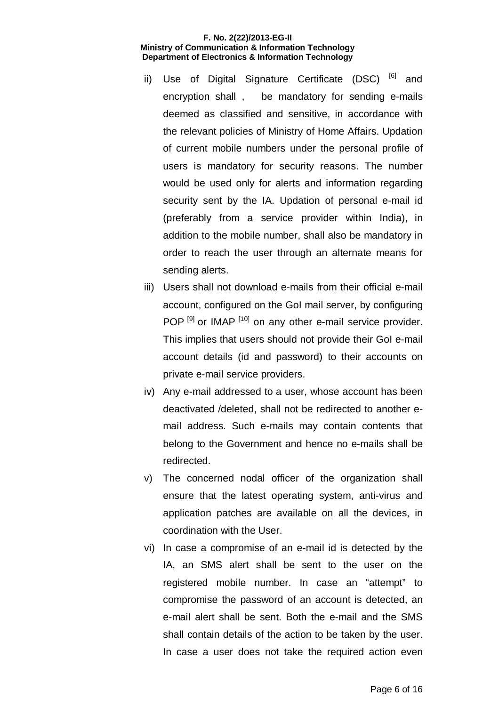- ii) Use of Digital Signature Certificate (DSC) [6] and encryption shall , be mandatory for sending e-mails deemed as classified and sensitive, in accordance with the relevant policies of Ministry of Home Affairs. Updation of current mobile numbers under the personal profile of users is mandatory for security reasons. The number would be used only for alerts and information regarding security sent by the IA. Updation of personal e-mail id (preferably from a service provider within India), in addition to the mobile number, shall also be mandatory in order to reach the user through an alternate means for sending alerts.
- iii) Users shall not download e-mails from their official e-mail account, configured on the GoI mail server, by configuring POP<sup>[9]</sup> or IMAP<sup>[10]</sup> on any other e-mail service provider. This implies that users should not provide their GoI e-mail account details (id and password) to their accounts on private e-mail service providers.
- iv) Any e-mail addressed to a user, whose account has been deactivated /deleted, shall not be redirected to another email address. Such e-mails may contain contents that belong to the Government and hence no e-mails shall be redirected.
- v) The concerned nodal officer of the organization shall ensure that the latest operating system, anti-virus and application patches are available on all the devices, in coordination with the User.
- vi) In case a compromise of an e-mail id is detected by the IA, an SMS alert shall be sent to the user on the registered mobile number. In case an "attempt" to compromise the password of an account is detected, an e-mail alert shall be sent. Both the e-mail and the SMS shall contain details of the action to be taken by the user. In case a user does not take the required action even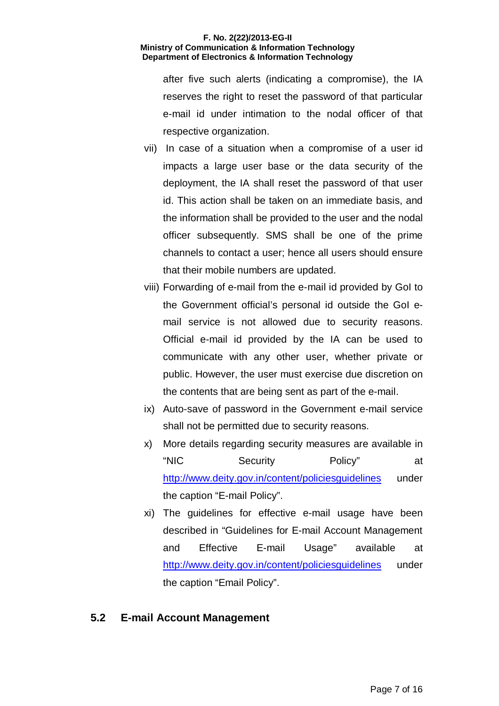after five such alerts (indicating a compromise), the IA reserves the right to reset the password of that particular e-mail id under intimation to the nodal officer of that respective organization.

- vii) In case of a situation when a compromise of a user id impacts a large user base or the data security of the deployment, the IA shall reset the password of that user id. This action shall be taken on an immediate basis, and the information shall be provided to the user and the nodal officer subsequently. SMS shall be one of the prime channels to contact a user; hence all users should ensure that their mobile numbers are updated.
- viii) Forwarding of e-mail from the e-mail id provided by GoI to the Government official's personal id outside the GoI email service is not allowed due to security reasons. Official e-mail id provided by the IA can be used to communicate with any other user, whether private or public. However, the user must exercise due discretion on the contents that are being sent as part of the e-mail.
- ix) Auto-save of password in the Government e-mail service shall not be permitted due to security reasons.
- x) More details regarding security measures are available in "NIC Security Policy" at http://www.deity.gov.in/content/policiesguidelines under the caption "E-mail Policy".
- xi) The guidelines for effective e-mail usage have been described in "Guidelines for E-mail Account Management and Effective E-mail Usage" available at http://www.deity.gov.in/content/policiesquidelines under the caption "Email Policy".

# **5.2 E-mail Account Management**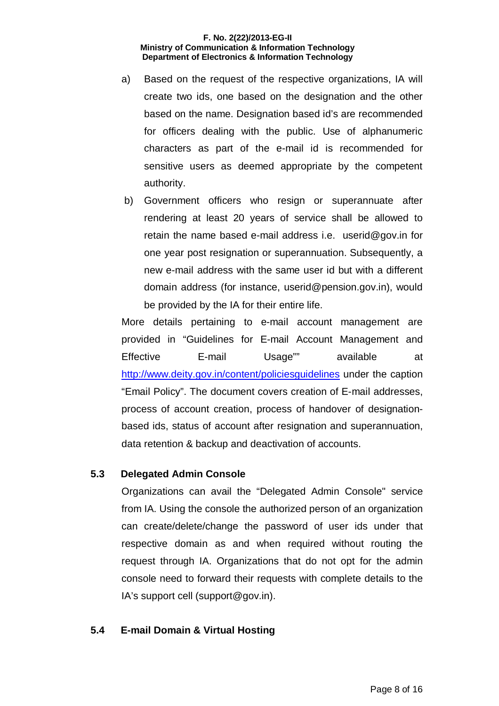- a) Based on the request of the respective organizations, IA will create two ids, one based on the designation and the other based on the name. Designation based id's are recommended for officers dealing with the public. Use of alphanumeric characters as part of the e-mail id is recommended for sensitive users as deemed appropriate by the competent authority.
- b) Government officers who resign or superannuate after rendering at least 20 years of service shall be allowed to retain the name based e-mail address i.e. userid@gov.in for one year post resignation or superannuation. Subsequently, a new e-mail address with the same user id but with a different domain address (for instance, userid@pension.gov.in), would be provided by the IA for their entire life.

More details pertaining to e-mail account management are provided in "Guidelines for E-mail Account Management and Effective E-mail Usage" available at http://www.deity.gov.in/content/policiesguidelines under the caption "Email Policy". The document covers creation of E-mail addresses, process of account creation, process of handover of designationbased ids, status of account after resignation and superannuation, data retention & backup and deactivation of accounts.

#### **5.3 Delegated Admin Console**

Organizations can avail the "Delegated Admin Console" service from IA. Using the console the authorized person of an organization can create/delete/change the password of user ids under that respective domain as and when required without routing the request through IA. Organizations that do not opt for the admin console need to forward their requests with complete details to the IA's support cell (support@gov.in).

#### **5.4 E-mail Domain & Virtual Hosting**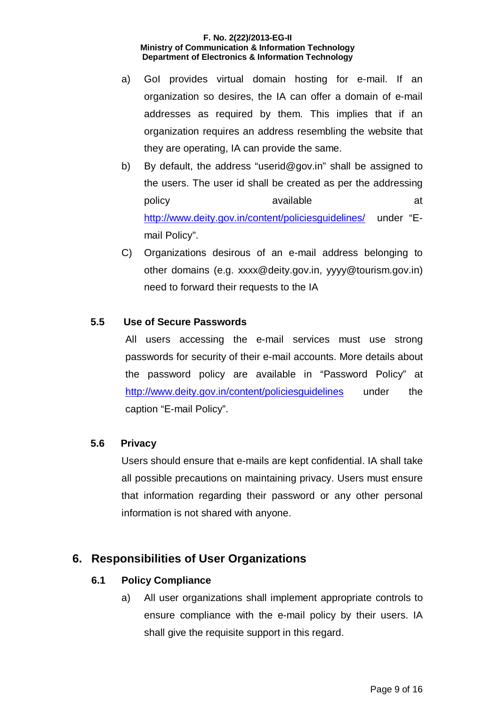- a) GoI provides virtual domain hosting for e-mail. If an organization so desires, the IA can offer a domain of e-mail addresses as required by them. This implies that if an organization requires an address resembling the website that they are operating, IA can provide the same.
- b) By default, the address "userid@gov.in" shall be assigned to the users. The user id shall be created as per the addressing policy available available at the state  $\alpha$ http://www.deity.gov.in/content/policiesguidelines/ under "Email Policy".
- C) Organizations desirous of an e-mail address belonging to other domains (e.g. xxxx@deity.gov.in, yyyy@tourism.gov.in) need to forward their requests to the IA

#### **5.5 Use of Secure Passwords**

All users accessing the e-mail services must use strong passwords for security of their e-mail accounts. More details about the password policy are available in "Password Policy" at http://www.deity.gov.in/content/policiesguidelines under the caption "E-mail Policy".

#### **5.6 Privacy**

Users should ensure that e-mails are kept confidential. IA shall take all possible precautions on maintaining privacy. Users must ensure that information regarding their password or any other personal information is not shared with anyone.

# **6. Responsibilities of User Organizations**

#### **6.1 Policy Compliance**

a) All user organizations shall implement appropriate controls to ensure compliance with the e-mail policy by their users. IA shall give the requisite support in this regard.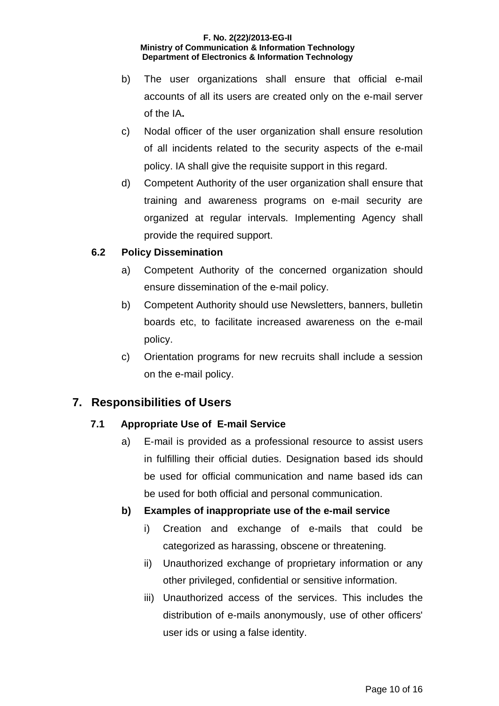- b) The user organizations shall ensure that official e-mail accounts of all its users are created only on the e-mail server of the IA**.**
- c) Nodal officer of the user organization shall ensure resolution of all incidents related to the security aspects of the e-mail policy. IA shall give the requisite support in this regard.
- d) Competent Authority of the user organization shall ensure that training and awareness programs on e-mail security are organized at regular intervals. Implementing Agency shall provide the required support.

#### **6.2 Policy Dissemination**

- a) Competent Authority of the concerned organization should ensure dissemination of the e-mail policy.
- b) Competent Authority should use Newsletters, banners, bulletin boards etc, to facilitate increased awareness on the e-mail policy.
- c) Orientation programs for new recruits shall include a session on the e-mail policy.

# **7. Responsibilities of Users**

# **7.1 Appropriate Use of E-mail Service**

a) E-mail is provided as a professional resource to assist users in fulfilling their official duties. Designation based ids should be used for official communication and name based ids can be used for both official and personal communication.

# **b) Examples of inappropriate use of the e-mail service**

- i) Creation and exchange of e-mails that could be categorized as harassing, obscene or threatening.
- ii) Unauthorized exchange of proprietary information or any other privileged, confidential or sensitive information.
- iii) Unauthorized access of the services. This includes the distribution of e-mails anonymously, use of other officers' user ids or using a false identity.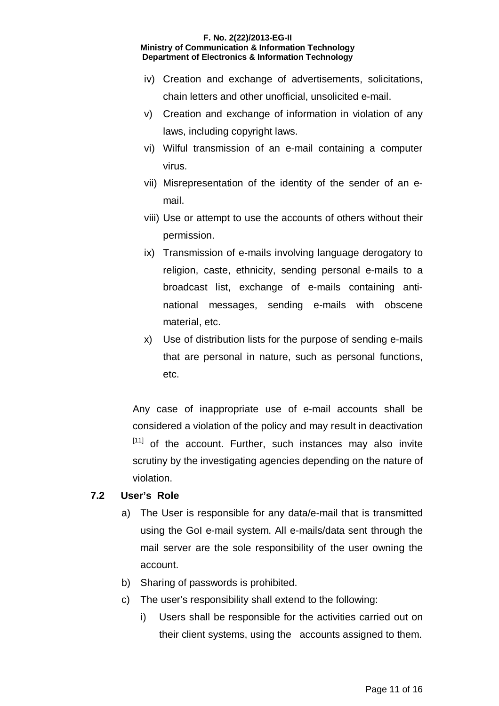- iv) Creation and exchange of advertisements, solicitations, chain letters and other unofficial, unsolicited e-mail.
- v) Creation and exchange of information in violation of any laws, including copyright laws.
- vi) Wilful transmission of an e-mail containing a computer virus.
- vii) Misrepresentation of the identity of the sender of an email.
- viii) Use or attempt to use the accounts of others without their permission.
- ix) Transmission of e-mails involving language derogatory to religion, caste, ethnicity, sending personal e-mails to a broadcast list, exchange of e-mails containing antinational messages, sending e-mails with obscene material, etc.
- x) Use of distribution lists for the purpose of sending e-mails that are personal in nature, such as personal functions, etc.

Any case of inappropriate use of e-mail accounts shall be considered a violation of the policy and may result in deactivation [11] of the account. Further, such instances may also invite scrutiny by the investigating agencies depending on the nature of violation.

#### **7.2 User's Role**

- a) The User is responsible for any data/e-mail that is transmitted using the GoI e-mail system. All e-mails/data sent through the mail server are the sole responsibility of the user owning the account.
- b) Sharing of passwords is prohibited.
- c) The user's responsibility shall extend to the following:
	- i) Users shall be responsible for the activities carried out on their client systems, using the accounts assigned to them.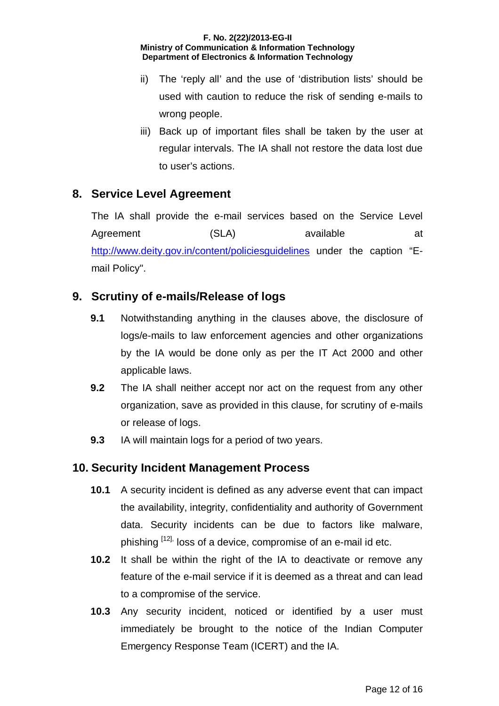- ii) The 'reply all' and the use of 'distribution lists' should be used with caution to reduce the risk of sending e-mails to wrong people.
- iii) Back up of important files shall be taken by the user at regular intervals. The IA shall not restore the data lost due to user's actions.

# **8. Service Level Agreement**

The IA shall provide the e-mail services based on the Service Level Agreement (SLA) available at http://www.deity.gov.in/content/policiesguidelines under the caption "Email Policy".

# **9. Scrutiny of e-mails/Release of logs**

- **9.1** Notwithstanding anything in the clauses above, the disclosure of logs/e-mails to law enforcement agencies and other organizations by the IA would be done only as per the IT Act 2000 and other applicable laws.
- **9.2** The IA shall neither accept nor act on the request from any other organization, save as provided in this clause, for scrutiny of e-mails or release of logs.
- **9.3** IA will maintain logs for a period of two years.

# **10. Security Incident Management Process**

- **10.1** A security incident is defined as any adverse event that can impact the availability, integrity, confidentiality and authority of Government data. Security incidents can be due to factors like malware, phishing <sup>[12],</sup> loss of a device, compromise of an e-mail id etc.
- **10.2** It shall be within the right of the IA to deactivate or remove any feature of the e-mail service if it is deemed as a threat and can lead to a compromise of the service.
- **10.3** Any security incident, noticed or identified by a user must immediately be brought to the notice of the Indian Computer Emergency Response Team (ICERT) and the IA.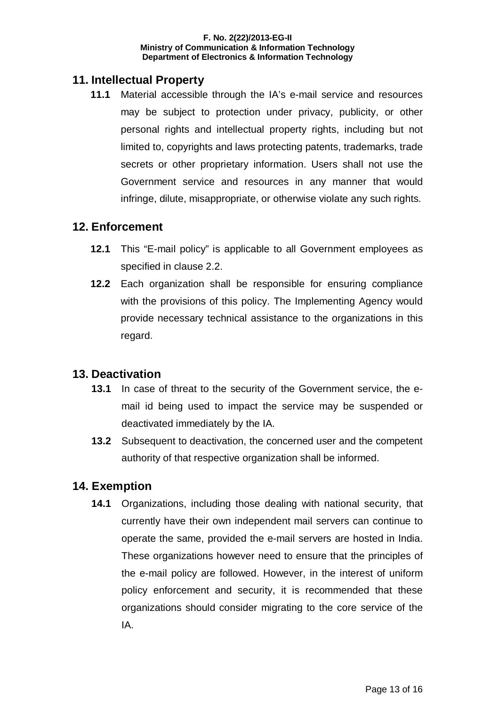# **11. Intellectual Property**

**11.1** Material accessible through the IA's e-mail service and resources may be subject to protection under privacy, publicity, or other personal rights and intellectual property rights, including but not limited to, copyrights and laws protecting patents, trademarks, trade secrets or other proprietary information. Users shall not use the Government service and resources in any manner that would infringe, dilute, misappropriate, or otherwise violate any such rights.

#### **12. Enforcement**

- **12.1** This "E-mail policy" is applicable to all Government employees as specified in clause 2.2.
- **12.2** Each organization shall be responsible for ensuring compliance with the provisions of this policy. The Implementing Agency would provide necessary technical assistance to the organizations in this regard.

# **13. Deactivation**

- **13.1** In case of threat to the security of the Government service, the email id being used to impact the service may be suspended or deactivated immediately by the IA.
- **13.2** Subsequent to deactivation, the concerned user and the competent authority of that respective organization shall be informed.

# **14. Exemption**

**14.1** Organizations, including those dealing with national security, that currently have their own independent mail servers can continue to operate the same, provided the e-mail servers are hosted in India. These organizations however need to ensure that the principles of the e-mail policy are followed. However, in the interest of uniform policy enforcement and security, it is recommended that these organizations should consider migrating to the core service of the IA.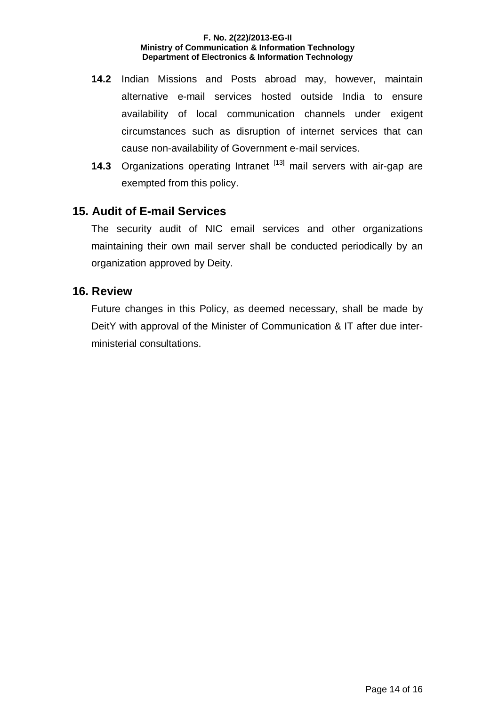- **14.2** Indian Missions and Posts abroad may, however, maintain alternative e-mail services hosted outside India to ensure availability of local communication channels under exigent circumstances such as disruption of internet services that can cause non-availability of Government e-mail services.
- **14.3** Organizations operating Intranet <sup>[13]</sup> mail servers with air-gap are exempted from this policy.

# **15. Audit of E-mail Services**

The security audit of NIC email services and other organizations maintaining their own mail server shall be conducted periodically by an organization approved by Deity.

#### **16. Review**

Future changes in this Policy, as deemed necessary, shall be made by DeitY with approval of the Minister of Communication & IT after due interministerial consultations.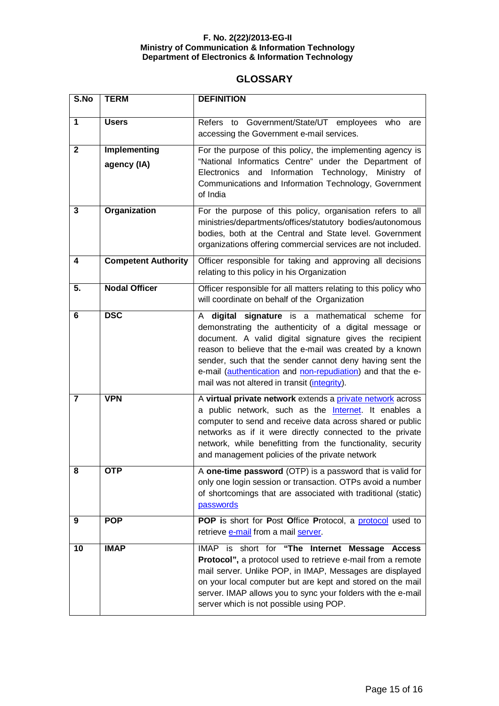#### **GLOSSARY**

| S.No         | <b>TERM</b>                        | <b>DEFINITION</b>                                                                                                                                                                                                                                                                                                                                                                                               |
|--------------|------------------------------------|-----------------------------------------------------------------------------------------------------------------------------------------------------------------------------------------------------------------------------------------------------------------------------------------------------------------------------------------------------------------------------------------------------------------|
| $\mathbf{1}$ | <b>Users</b>                       | Refers to Government/State/UT employees who<br>are<br>accessing the Government e-mail services.                                                                                                                                                                                                                                                                                                                 |
| $\mathbf{2}$ | <b>Implementing</b><br>agency (IA) | For the purpose of this policy, the implementing agency is<br>"National Informatics Centre" under the Department of<br>Electronics and Information Technology,<br>Ministry of<br>Communications and Information Technology, Government<br>of India                                                                                                                                                              |
| 3            | <b>Organization</b>                | For the purpose of this policy, organisation refers to all<br>ministries/departments/offices/statutory bodies/autonomous<br>bodies, both at the Central and State level. Government<br>organizations offering commercial services are not included.                                                                                                                                                             |
| 4            | <b>Competent Authority</b>         | Officer responsible for taking and approving all decisions<br>relating to this policy in his Organization                                                                                                                                                                                                                                                                                                       |
| 5.           | <b>Nodal Officer</b>               | Officer responsible for all matters relating to this policy who<br>will coordinate on behalf of the Organization                                                                                                                                                                                                                                                                                                |
| 6            | <b>DSC</b>                         | digital signature is a mathematical scheme for<br>A<br>demonstrating the authenticity of a digital message or<br>document. A valid digital signature gives the recipient<br>reason to believe that the e-mail was created by a known<br>sender, such that the sender cannot deny having sent the<br>e-mail (authentication and non-repudiation) and that the e-<br>mail was not altered in transit (integrity). |
| 7            | <b>VPN</b>                         | A virtual private network extends a private network across<br>a public network, such as the <b>Internet</b> . It enables a<br>computer to send and receive data across shared or public<br>networks as if it were directly connected to the private<br>network, while benefitting from the functionality, security<br>and management policies of the private network                                            |
| ୪            | <b>OTP</b>                         | A one-time password (OTP) is a password that is valid for<br>only one login session or transaction. OTPs avoid a number<br>of shortcomings that are associated with traditional (static)<br>passwords                                                                                                                                                                                                           |
| 9            | <b>POP</b>                         | POP is short for Post Office Protocol, a protocol used to<br>retrieve e-mail from a mail server.                                                                                                                                                                                                                                                                                                                |
| 10           | <b>IMAP</b>                        | IMAP is short for "The Internet Message Access<br>Protocol", a protocol used to retrieve e-mail from a remote<br>mail server. Unlike POP, in IMAP, Messages are displayed<br>on your local computer but are kept and stored on the mail<br>server. IMAP allows you to sync your folders with the e-mail<br>server which is not possible using POP.                                                              |